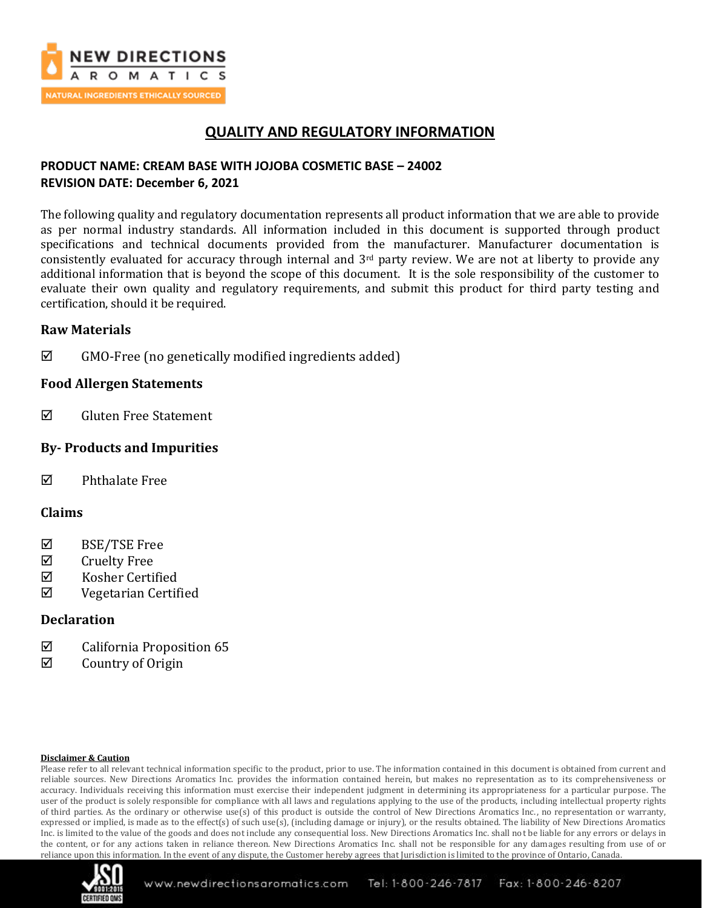

## **QUALITY AND REGULATORY INFORMATION**

## **PRODUCT NAME: CREAM BASE WITH JOJOBA COSMETIC BASE – 24002 REVISION DATE: December 6, 2021**

The following quality and regulatory documentation represents all product information that we are able to provide as per normal industry standards. All information included in this document is supported through product specifications and technical documents provided from the manufacturer. Manufacturer documentation is consistently evaluated for accuracy through internal and 3rd party review. We are not at liberty to provide any additional information that is beyond the scope of this document. It is the sole responsibility of the customer to evaluate their own quality and regulatory requirements, and submit this product for third party testing and certification, should it be required.

### **Raw Materials**

 $\boxtimes$  GMO-Free (no genetically modified ingredients added)

### **Food Allergen Statements**

 $\boxtimes$  Gluten Free Statement

## **By- Products and Impurities**

 $\boxtimes$  Phthalate Free

### **Claims**

- $\boxtimes$  BSE/TSE Free
- $\boxtimes$  Cruelty Free
- $\boxtimes$  Kosher Certified
- Vegetarian Certified

### **Declaration**

- $\boxtimes$  California Proposition 65
- $\boxtimes$  Country of Origin

#### **Disclaimer & Caution**

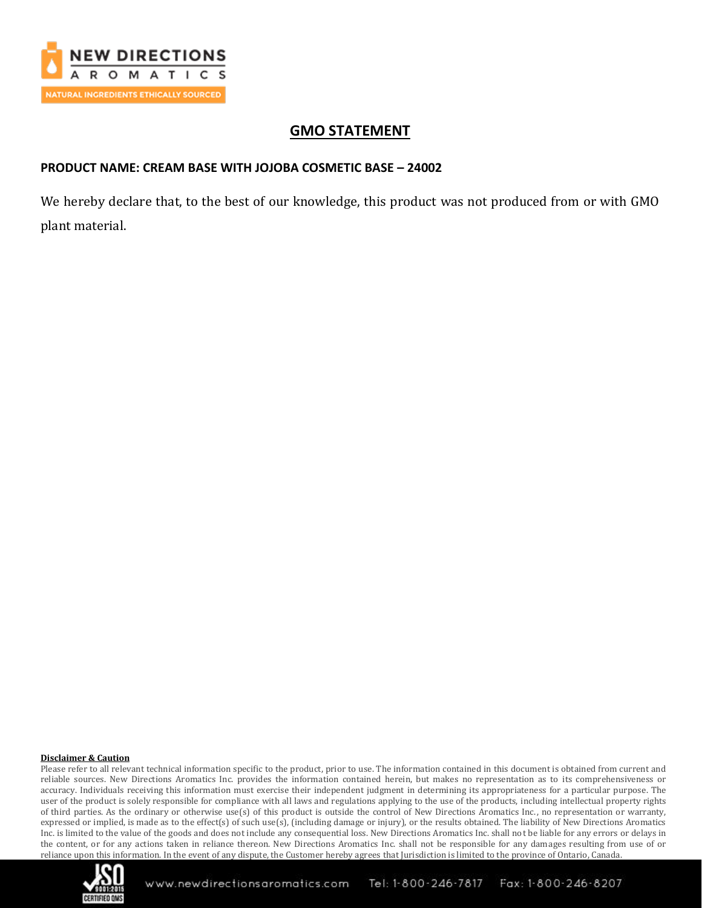

# **GMO STATEMENT**

## **PRODUCT NAME: CREAM BASE WITH JOJOBA COSMETIC BASE – 24002**

We hereby declare that, to the best of our knowledge, this product was not produced from or with GMO plant material.

#### **Disclaimer & Caution**

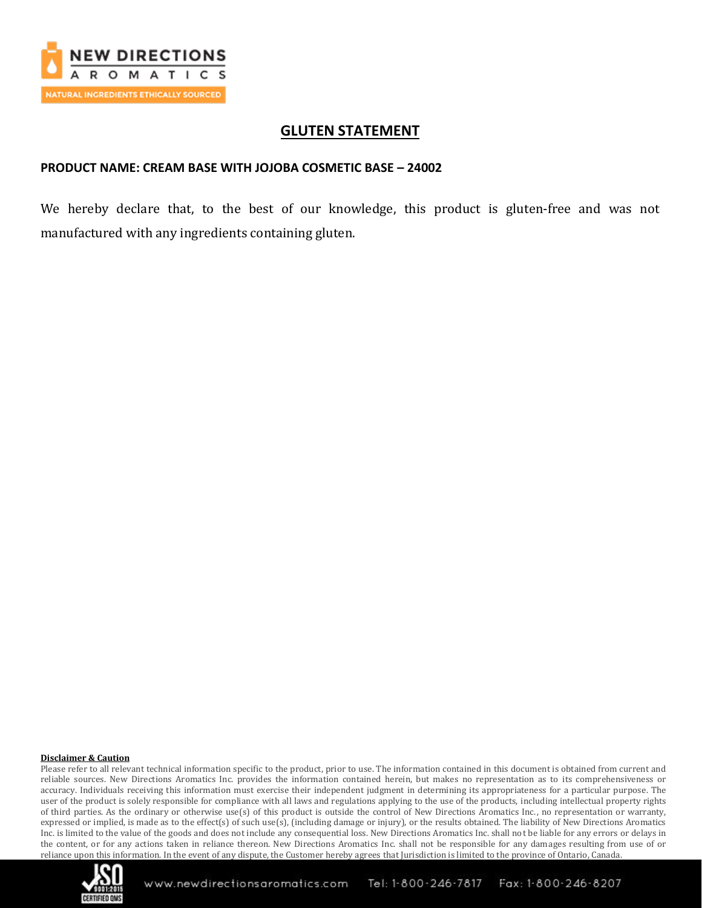

## **GLUTEN STATEMENT**

### **PRODUCT NAME: CREAM BASE WITH JOJOBA COSMETIC BASE – 24002**

We hereby declare that, to the best of our knowledge, this product is gluten-free and was not manufactured with any ingredients containing gluten.

#### **Disclaimer & Caution**

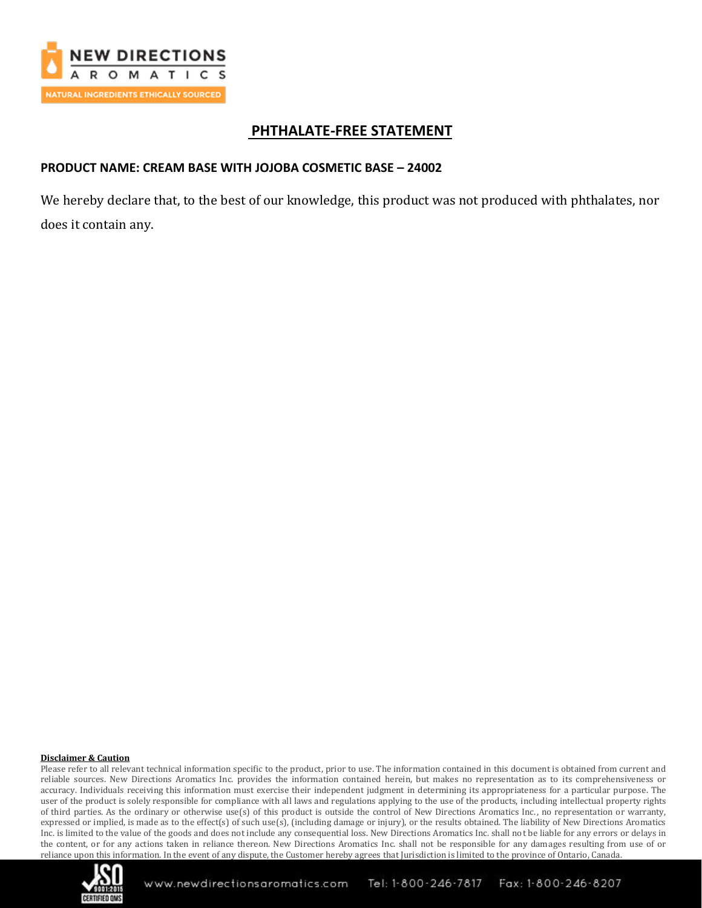

## **PHTHALATE-FREE STATEMENT**

## **PRODUCT NAME: CREAM BASE WITH JOJOBA COSMETIC BASE – 24002**

We hereby declare that, to the best of our knowledge, this product was not produced with phthalates, nor does it contain any.

#### **Disclaimer & Caution**

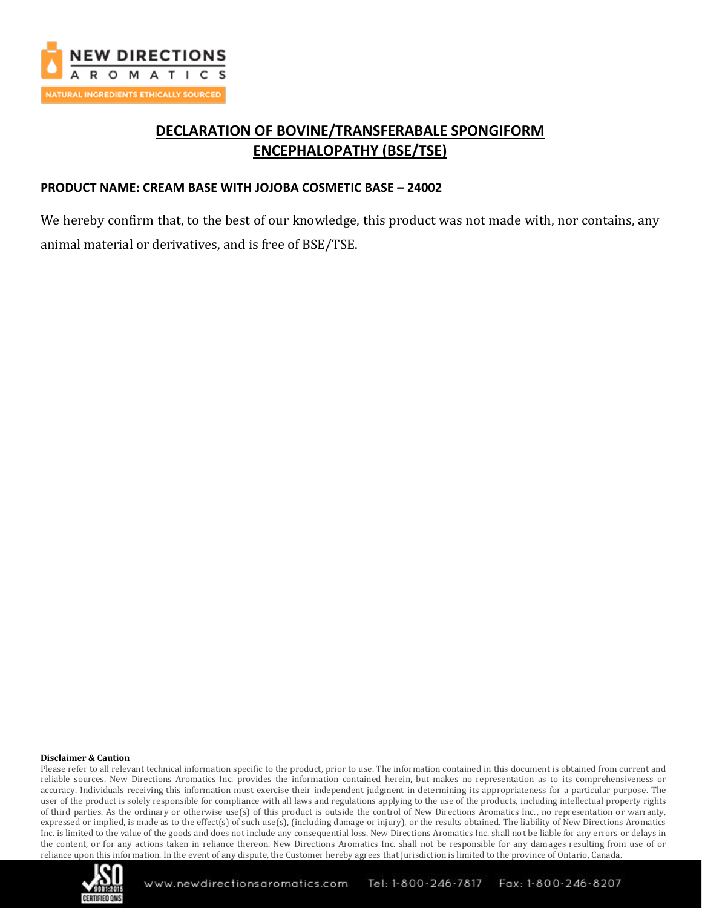

# **DECLARATION OF BOVINE/TRANSFERABALE SPONGIFORM ENCEPHALOPATHY (BSE/TSE)**

### **PRODUCT NAME: CREAM BASE WITH JOJOBA COSMETIC BASE – 24002**

We hereby confirm that, to the best of our knowledge, this product was not made with, nor contains, any animal material or derivatives, and is free of BSE/TSE.

#### **Disclaimer & Caution**

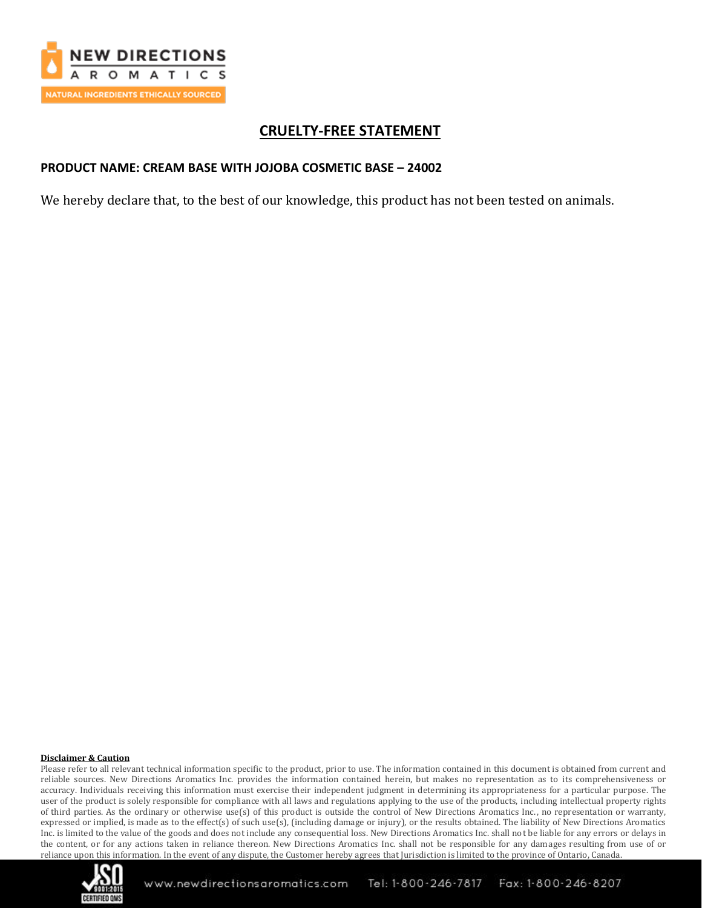

# **CRUELTY-FREE STATEMENT**

### **PRODUCT NAME: CREAM BASE WITH JOJOBA COSMETIC BASE – 24002**

We hereby declare that, to the best of our knowledge, this product has not been tested on animals.

#### **Disclaimer & Caution**

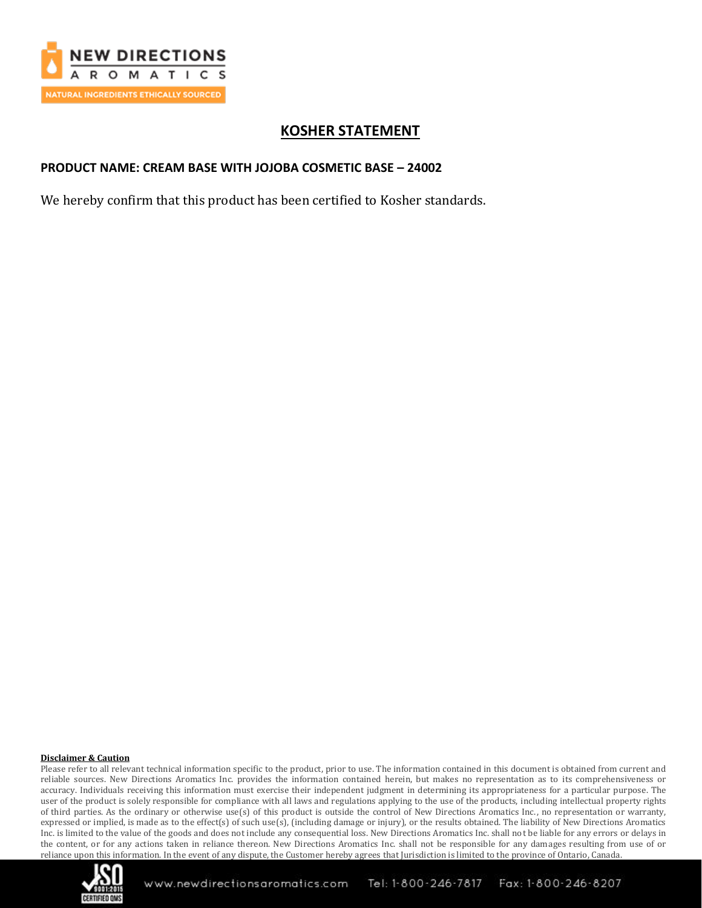

# **KOSHER STATEMENT**

## **PRODUCT NAME: CREAM BASE WITH JOJOBA COSMETIC BASE – 24002**

We hereby confirm that this product has been certified to Kosher standards.

#### **Disclaimer & Caution**

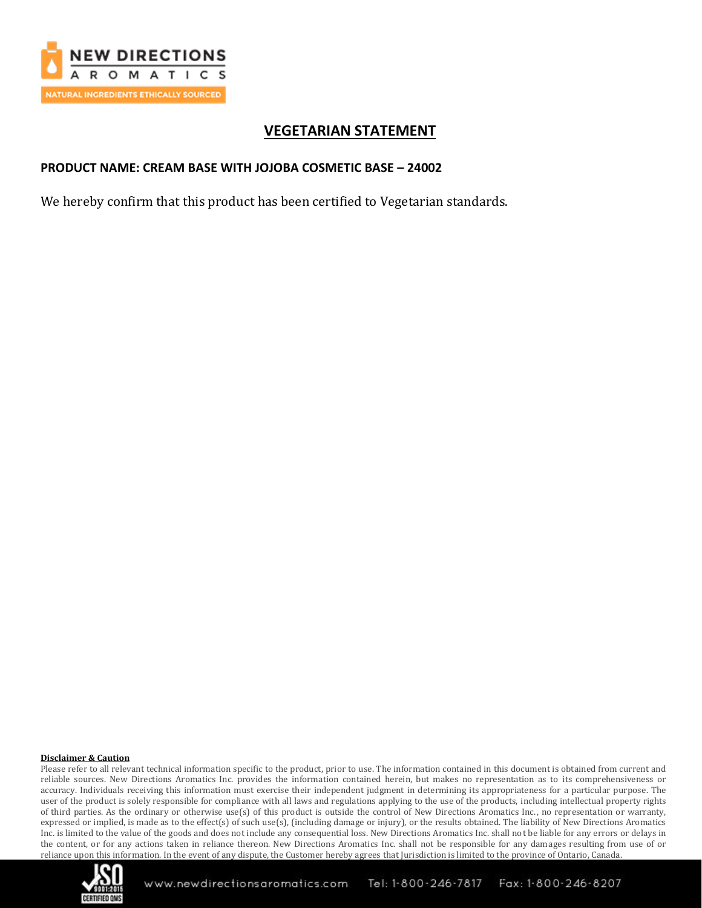

# **VEGETARIAN STATEMENT**

## **PRODUCT NAME: CREAM BASE WITH JOJOBA COSMETIC BASE – 24002**

We hereby confirm that this product has been certified to Vegetarian standards.

#### **Disclaimer & Caution**

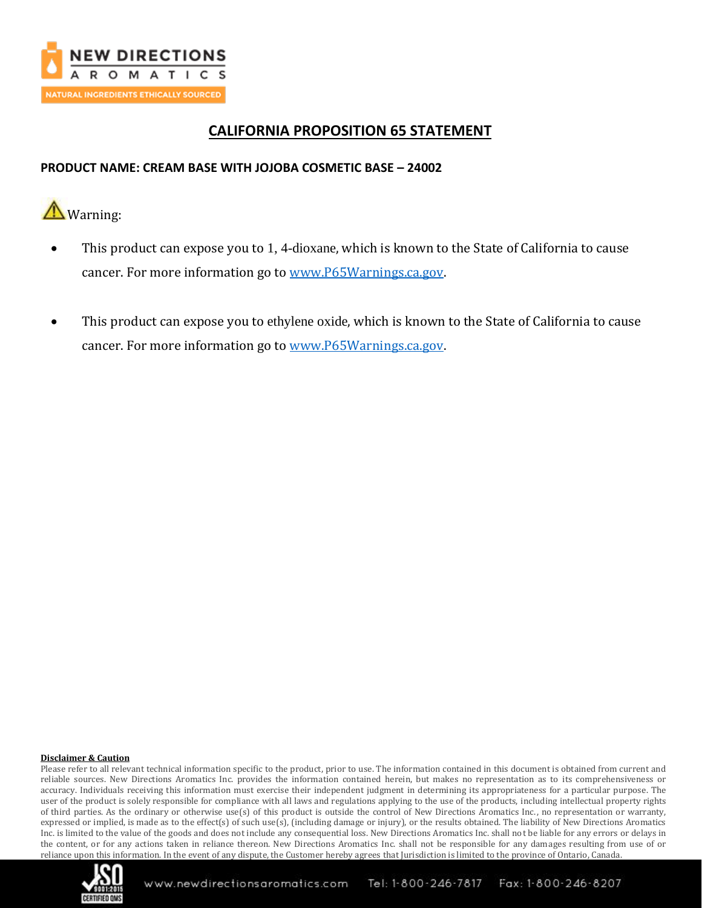

# **CALIFORNIA PROPOSITION 65 STATEMENT**

## **PRODUCT NAME: CREAM BASE WITH JOJOBA COSMETIC BASE – 24002**

**A** Warning:

- This product can expose you to 1, 4-dioxane, which is known to the State of California to cause cancer. For more information go to [www.P65Warnings.ca.gov.](http://www.p65warnings.ca.gov/)
- This product can expose you to ethylene oxide, which is known to the State of California to cause cancer. For more information go to [www.P65Warnings.ca.gov.](http://www.p65warnings.ca.gov/)

#### **Disclaimer & Caution**